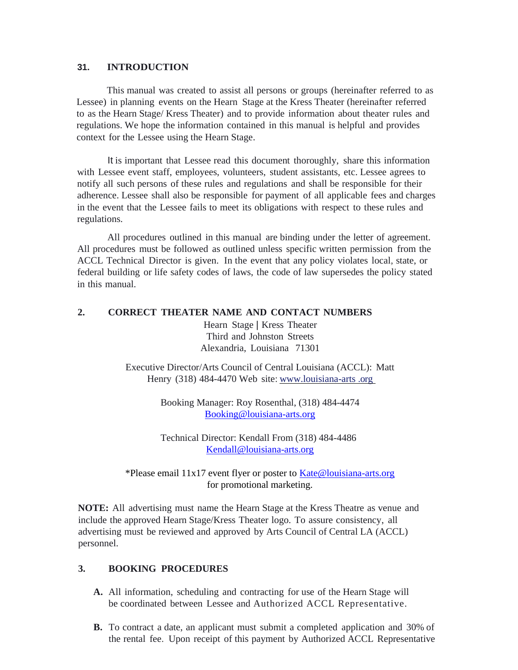#### **31. INTRODUCTION**

This manual was created to assist all persons or groups (hereinafter referred to as Lessee) in planning events on the Hearn Stage at the Kress Theater (hereinafter referred to as the Hearn Stage/ Kress Theater) and to provide information about theater rules and regulations. We hope the information contained in this manual is helpful and provides context for the Lessee using the Hearn Stage.

It is important that Lessee read this document thoroughly, share this information with Lessee event staff, employees, volunteers, student assistants, etc. Lessee agrees to notify all such persons of these rules and regulations and shall be responsible for their adherence. Lessee shall also be responsible for payment of all applicable fees and charges in the event that the Lessee fails to meet its obligations with respect to these rules and regulations.

All procedures outlined in this manual are binding under the letter of agreement. All procedures must be followed as outlined unless specific written permission from the ACCL Technical Director is given. In the event that any policy violates local, state, or federal building or life safety codes of laws, the code of law supersedes the policy stated in this manual.

### **2. CORRECT THEATER NAME AND CONTACT NUMBERS**

Hearn Stage *|* Kress Theater Third and Johnston Streets Alexandria, Louisiana 71301

Executive Director/Arts Council of Central Louisiana (ACCL): Matt Henry (318) 484-4470 Web site: www.louisiana-arts .org

> Booking Manager: Roy Rosenthal, (318) 484-4474 [Booking@louisiana-arts.org](mailto:Booking@louisiana-arts.org)

 Technical Director: Kendall From (318) 484-4486 [Kendall@louisiana-arts.org](mailto:Kendall@louisiana-arts.org)

\*Please email 11x17 event flyer or poster to **Kate@louisiana-arts.org** for promotional marketing.

**NOTE:** All advertising must name the Hearn Stage at the Kress Theatre as venue and include the approved Hearn Stage/Kress Theater logo. To assure consistency, all advertising must be reviewed and approved by Arts Council of Central LA (ACCL) personnel.

## **3. BOOKING PROCEDURES**

- **A.** All information, scheduling and contracting for use of the Hearn Stage will be coordinated between Lessee and Authorized ACCL Representative.
- **B.** To contract a date, an applicant must submit a completed application and 30% of the rental fee. Upon receipt of this payment by Authorized ACCL Representative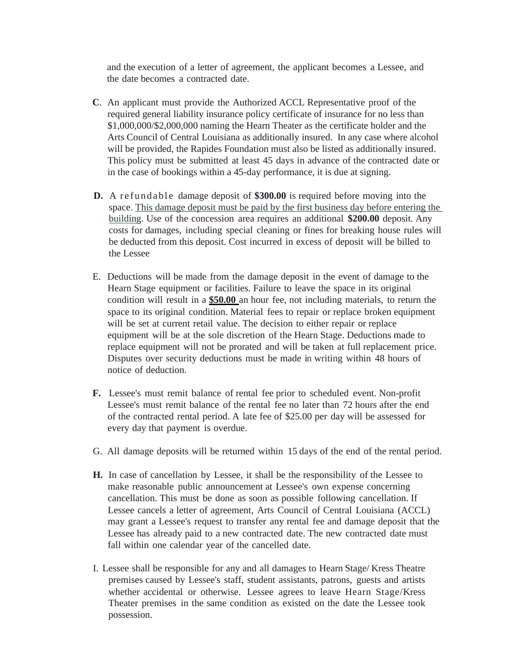and the execution of a letter of agreement, the applicant becomes a Lessee, and the date becomes a contracted date.

- **C**. An applicant must provide the Authorized ACCL Representative proof of the required general liability insurance policy certificate of insurance for no less than \$1,000,000/\$2,000,000 naming the Hearn Theater as the certificate holder and the Arts Council of Central Louisiana as additionally insured. In any case where alcohol will be provided, the Rapides Foundation must also be listed as additionally insured. This policy must be submitted at least 45 days in advance of the contracted date or in the case of bookings within a 45-day performance, it is due at signing.
- **D.** A refundable damage deposit of \$300.00 is required before moving into the space. This damage deposit must be paid by the first business day before entering the building. Use of the concession area requires an additional **\$200.00** deposit. Any costs for damages, including special cleaning or fines for breaking house rules will be deducted from this deposit. Cost incurred in excess of deposit will be billed to the Lessee
- E. Deductions will be made from the damage deposit in the event of damage to the Hearn Stage equipment or facilities. Failure to leave the space in its original condition will result in a **\$50.00** an hour fee, not including materials, to return the space to its original condition. Material fees to repair or replace broken equipment will be set at current retail value. The decision to either repair or replace equipment will be at the sole discretion of the Hearn Stage. Deductions made to replace equipment will not be prorated and will be taken at full replacement price. Disputes over security deductions must be made in writing within 48 hours of notice of deduction.
- **F.** Lessee's must remit balance of rental fee prior to scheduled event. Non-profit Lessee's must remit balance of the rental fee no later than 72 hours after the end of the contracted rental period. A late fee of \$25.00 per day will be assessed for every day that payment is overdue.
- G. All damage deposits will be returned within 15 days of the end of the rental period.
- **H.** In case of cancellation by Lessee, it shall be the responsibility of the Lessee to make reasonable public announcement at Lessee's own expense concerning cancellation. This must be done as soon as possible following cancellation. If Lessee cancels a letter of agreement, Arts Council of Central Louisiana (ACCL) may grant a Lessee's request to transfer any rental fee and damage deposit that the Lessee has already paid to a new contracted date. The new contracted date must fall within one calendar year of the cancelled date.
- I. Lessee shall be responsible for any and all damages to Hearn Stage/ Kress Theatre premises caused by Lessee's staff, student assistants, patrons, guests and artists whether accidental or otherwise. Lessee agrees to leave Hearn Stage/Kress Theater premises in the same condition as existed on the date the Lessee took possession.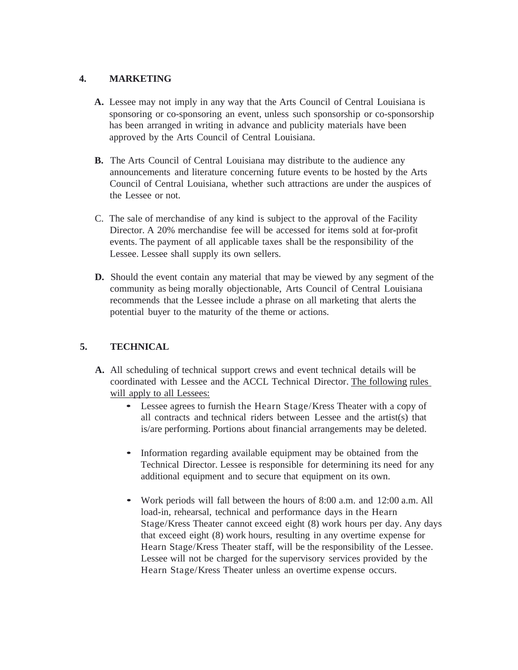## **4. MARKETING**

- **A.** Lessee may not imply in any way that the Arts Council of Central Louisiana is sponsoring or co-sponsoring an event, unless such sponsorship or co-sponsorship has been arranged in writing in advance and publicity materials have been approved by the Arts Council of Central Louisiana.
- **B.** The Arts Council of Central Louisiana may distribute to the audience any announcements and literature concerning future events to be hosted by the Arts Council of Central Louisiana, whether such attractions are under the auspices of the Lessee or not.
- C. The sale of merchandise of any kind is subject to the approval of the Facility Director. A 20% merchandise fee will be accessed for items sold at for-profit events. The payment of all applicable taxes shall be the responsibility of the Lessee. Lessee shall supply its own sellers.
- **D.** Should the event contain any material that may be viewed by any segment of the community as being morally objectionable, Arts Council of Central Louisiana recommends that the Lessee include a phrase on all marketing that alerts the potential buyer to the maturity of the theme or actions.

# **5. TECHNICAL**

- **A.** All scheduling of technical support crews and event technical details will be coordinated with Lessee and the ACCL Technical Director. The following rules will apply to all Lessees:
	- Lessee agrees to furnish the Hearn Stage/Kress Theater with <sup>a</sup> copy of all contracts and technical riders between Lessee and the artist(s) that is/are performing. Portions about financial arrangements may be deleted.
	- Information regarding available equipment may be obtained from the Technical Director. Lessee is responsible for determining its need for any additional equipment and to secure that equipment on its own.
	- Work periods will fall between the hours of 8:00 a.m. and 12:00 a.m. All load-in, rehearsal, technical and performance days in the Hearn Stage/Kress Theater cannot exceed eight (8) work hours per day. Any days that exceed eight (8) work hours, resulting in any overtime expense for Hearn Stage/Kress Theater staff, will be the responsibility of the Lessee. Lessee will not be charged for the supervisory services provided by the Hearn Stage/Kress Theater unless an overtime expense occurs.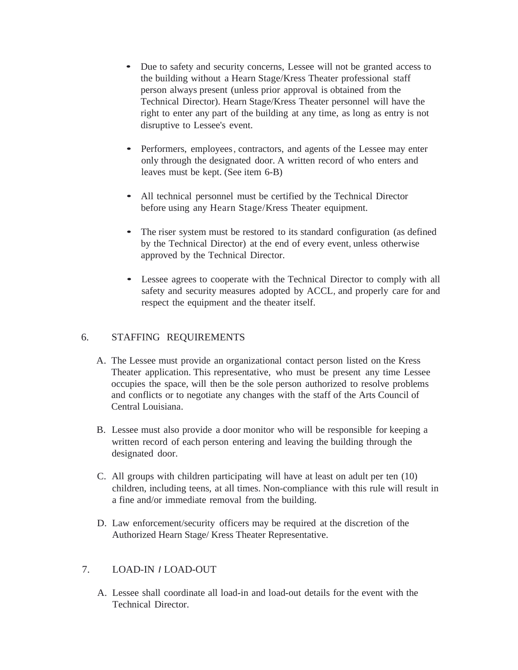- Due to safety and security concerns, Lessee will not be granted access to the building without a Hearn Stage/Kress Theater professional staff person always present (unless prior approval is obtained from the Technical Director). Hearn Stage/Kress Theater personnel will have the right to enter any part of the building at any time, as long as entry is not disruptive to Lessee's event.
- Performers, employees, contractors, and agents of the Lessee may enter only through the designated door. A written record of who enters and leaves must be kept. (See item 6-B)
- All technical personnel must be certified by the Technical Director before using any Hearn Stage/Kress Theater equipment.
- The riser system must be restored to its standard configuration (as defined by the Technical Director) at the end of every event, unless otherwise approved by the Technical Director.
- Lessee agrees to cooperate with the Technical Director to comply with all safety and security measures adopted by ACCL, and properly care for and respect the equipment and the theater itself.

# 6. STAFFING REQUIREMENTS

- A. The Lessee must provide an organizational contact person listed on the Kress Theater application. This representative, who must be present any time Lessee occupies the space, will then be the sole person authorized to resolve problems and conflicts or to negotiate any changes with the staff of the Arts Council of Central Louisiana.
- B. Lessee must also provide a door monitor who will be responsible for keeping a written record of each person entering and leaving the building through the designated door.
- C. All groups with children participating will have at least on adult per ten (10) children, including teens, at all times. Non-compliance with this rule will result in a fine and/or immediate removal from the building.
- D. Law enforcement/security officers may be required at the discretion of the Authorized Hearn Stage/ Kress Theater Representative.

# 7. LOAD-IN *I* LOAD-OUT

A. Lessee shall coordinate all load-in and load-out details for the event with the Technical Director.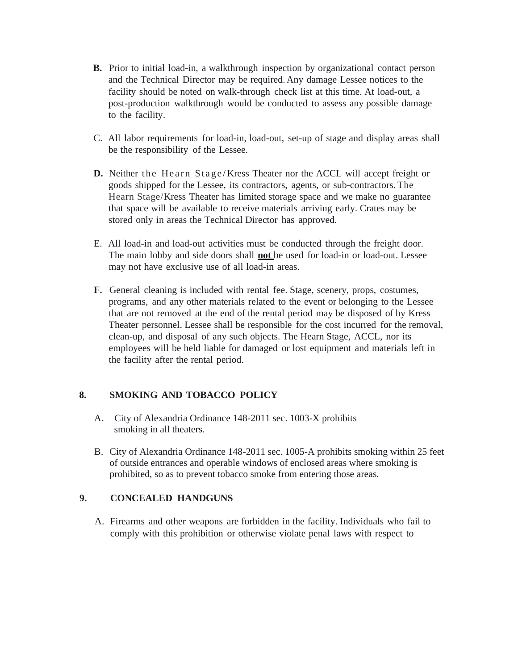- **B.** Prior to initial load-in, a walkthrough inspection by organizational contact person and the Technical Director may be required. Any damage Lessee notices to the facility should be noted on walk-through check list at this time. At load-out, a post-production walkthrough would be conducted to assess any possible damage to the facility.
- C. All labor requirements for load-in, load-out, set-up of stage and display areas shall be the responsibility of the Lessee.
- **D.** Neither the Hearn Stage/Kress Theater nor the ACCL will accept freight or goods shipped for the Lessee, its contractors, agents, or sub-contractors. The Hearn Stage/Kress Theater has limited storage space and we make no guarantee that space will be available to receive materials arriving early. Crates may be stored only in areas the Technical Director has approved.
- E. All load-in and load-out activities must be conducted through the freight door. The main lobby and side doors shall **not** be used for load-in or load-out. Lessee may not have exclusive use of all load-in areas.
- **F.** General cleaning is included with rental fee. Stage, scenery, props, costumes, programs, and any other materials related to the event or belonging to the Lessee that are not removed at the end of the rental period may be disposed of by Kress Theater personnel. Lessee shall be responsible for the cost incurred for the removal, clean-up, and disposal of any such objects. The Hearn Stage, ACCL, nor its employees will be held liable for damaged or lost equipment and materials left in the facility after the rental period.

### **8. SMOKING AND TOBACCO POLICY**

- A. City of Alexandria Ordinance 148-2011 sec. 1003-X prohibits smoking in all theaters.
- B. City of Alexandria Ordinance 148-2011 sec. 1005-A prohibits smoking within 25 feet of outside entrances and operable windows of enclosed areas where smoking is prohibited, so as to prevent tobacco smoke from entering those areas.

### **9. CONCEALED HANDGUNS**

A. Firearms and other weapons are forbidden in the facility. Individuals who fail to comply with this prohibition or otherwise violate penal laws with respect to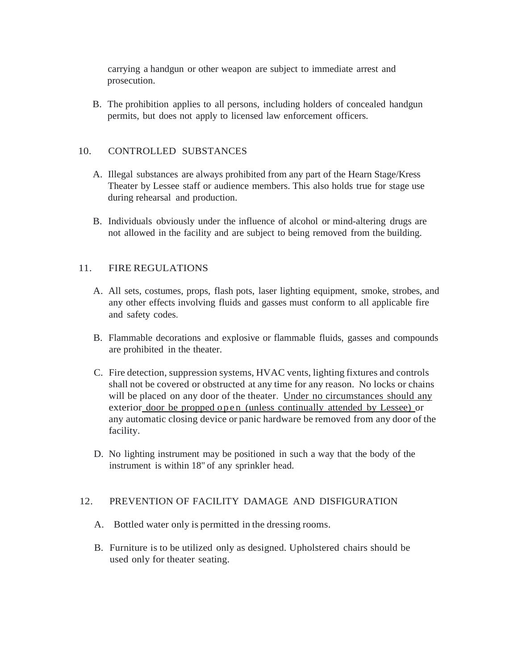carrying a handgun or other weapon are subject to immediate arrest and prosecution.

B. The prohibition applies to all persons, including holders of concealed handgun permits, but does not apply to licensed law enforcement officers.

#### 10. CONTROLLED SUBSTANCES

- A. Illegal substances are always prohibited from any part of the Hearn Stage/Kress Theater by Lessee staff or audience members. This also holds true for stage use during rehearsal and production.
- B. Individuals obviously under the influence of alcohol or mind-altering drugs are not allowed in the facility and are subject to being removed from the building.

#### 11. FIRE REGULATIONS

- A. All sets, costumes, props, flash pots, laser lighting equipment, smoke, strobes, and any other effects involving fluids and gasses must conform to all applicable fire and safety codes.
- B. Flammable decorations and explosive or flammable fluids, gasses and compounds are prohibited in the theater.
- C. Fire detection, suppression systems, HVAC vents, lighting fixtures and controls shall not be covered or obstructed at any time for any reason. No locks or chains will be placed on any door of the theater. Under no circumstances should any exterior door be propped open (unless continually attended by Lessee) or any automatic closing device or panic hardware be removed from any door of the facility.
- D. No lighting instrument may be positioned in such a way that the body of the instrument is within 18" of any sprinkler head.

#### 12. PREVENTION OF FACILITY DAMAGE AND DISFIGURATION

- A. Bottled water only is permitted in the dressing rooms.
- B. Furniture is to be utilized only as designed. Upholstered chairs should be used only for theater seating.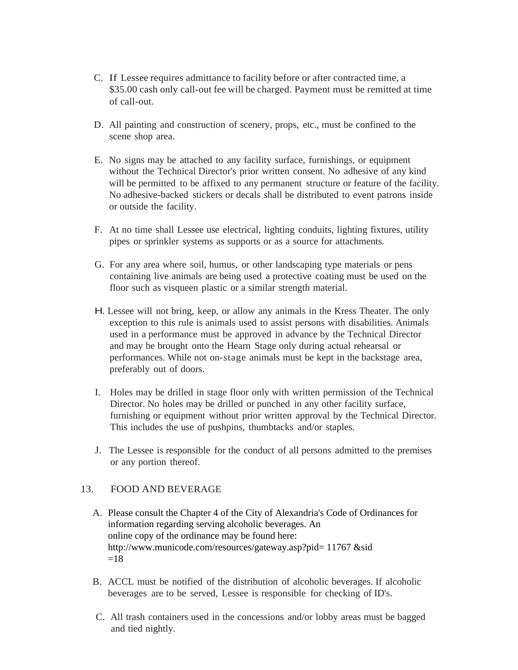- C. If Lessee requires admittance to facility before or after contracted time, a \$35.00 cash only call-out fee will be charged. Payment must be remitted at time of call-out.
- D. All painting and construction of scenery, props, etc., must be confined to the scene shop area.
- E. No signs may be attached to any facility surface, furnishings, or equipment without the Technical Director's prior written consent. No adhesive of any kind will be permitted to be affixed to any permanent structure or feature of the facility. No adhesive-backed stickers or decals shall be distributed to event patrons inside or outside the facility.
- F. At no time shall Lessee use electrical, lighting conduits, lighting fixtures, utility pipes or sprinkler systems as supports or as a source for attachments.
- G. For any area where soil, humus, or other landscaping type materials or pens containing live animals are being used a protective coating must be used on the floor such as visqueen plastic or a similar strength material.
- H. Lessee will not bring, keep, or allow any animals in the Kress Theater. The only exception to this rule is animals used to assist persons with disabilities. Animals used in a performance must be approved in advance by the Technical Director and may be brought onto the Hearn Stage only during actual rehearsal or performances. While not on-stage animals must be kept in the backstage area, preferably out of doors.
- I. Holes may be drilled in stage floor only with written permission of the Technical Director. No holes may be drilled or punched in any other facility surface, furnishing or equipment without prior written approval by the Technical Director. This includes the use of pushpins, thumbtacks and/or staples.
- J. The Lessee is responsible for the conduct of all persons admitted to the premises or any portion thereof.

### 13. FOOD AND BEVERAGE

- A. Please consult the Chapter 4 of the City of Alexandria's Code of Ordinances for information regarding serving alcoholic beverages. An online copy of the ordinance may be found here: http://www.municode.com/resources/gateway.asp?pid= 11767 &sid  $=18$
- B. ACCL must be notified of the distribution of alcoholic beverages. If alcoholic beverages are to be served, Lessee is responsible for checking of ID's.
- C. All trash containers used in the concessions and/or lobby areas must be bagged and tied nightly.